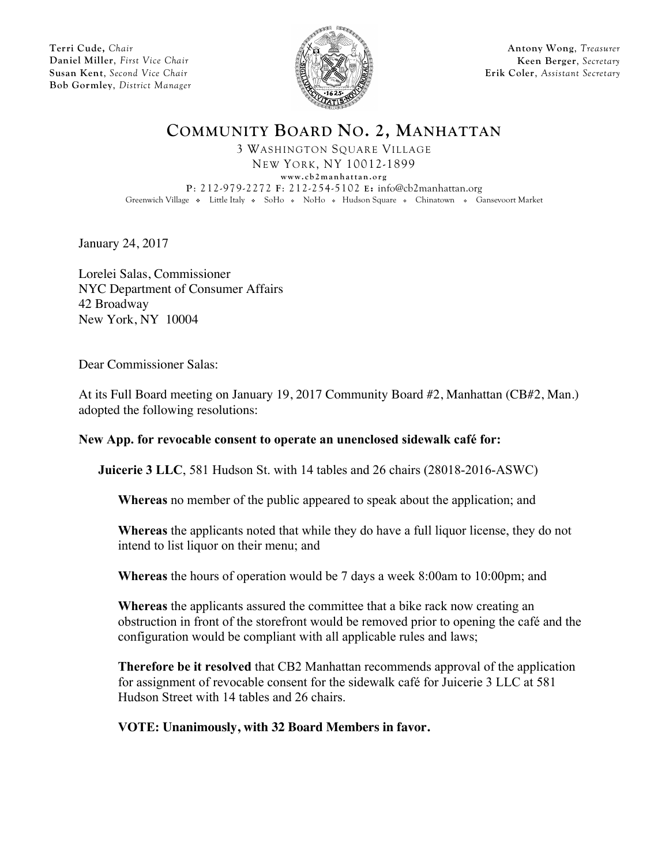**Terri Cude,** *Chair* **Daniel Miller**, *First Vice Chair* **Susan Kent**, *Second Vice Chair* **Bob Gormley**, *District Manager*



**Antony Wong**, *Treasurer* **Keen Berger**, *Secretary* **Erik Coler**, *Assistant Secretary*

**COMMUNITY BOARD NO. 2, MANHATTAN**

3 WASHINGTON SQUARE VILLAGE NEW YORK, NY 10012-1899 **www.cb2manhattan.org P**: 212-979-2272 **F**: 212-254-5102 **E:** info@cb2manhattan.org Greenwich Village • Little Italy • SoHo • NoHo • Hudson Square • Chinatown • Gansevoort Market

January 24, 2017

Lorelei Salas, Commissioner NYC Department of Consumer Affairs 42 Broadway New York, NY 10004

Dear Commissioner Salas:

At its Full Board meeting on January 19, 2017 Community Board #2, Manhattan (CB#2, Man.) adopted the following resolutions:

## **New App. for revocable consent to operate an unenclosed sidewalk café for:**

**Juicerie 3 LLC**, 581 Hudson St. with 14 tables and 26 chairs (28018-2016-ASWC)

**Whereas** no member of the public appeared to speak about the application; and

**Whereas** the applicants noted that while they do have a full liquor license, they do not intend to list liquor on their menu; and

**Whereas** the hours of operation would be 7 days a week 8:00am to 10:00pm; and

**Whereas** the applicants assured the committee that a bike rack now creating an obstruction in front of the storefront would be removed prior to opening the café and the configuration would be compliant with all applicable rules and laws;

**Therefore be it resolved** that CB2 Manhattan recommends approval of the application for assignment of revocable consent for the sidewalk café for Juicerie 3 LLC at 581 Hudson Street with 14 tables and 26 chairs.

**VOTE: Unanimously, with 32 Board Members in favor.**